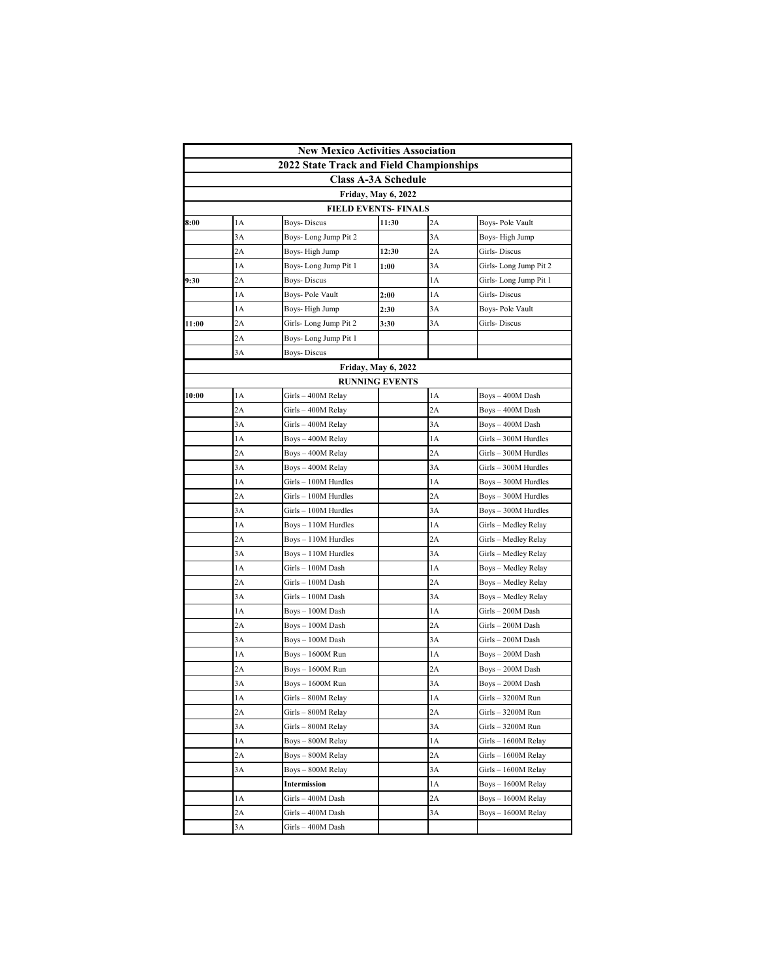| <b>New Mexico Activities Association</b> |     |                                                 |                            |    |                        |  |  |  |  |
|------------------------------------------|-----|-------------------------------------------------|----------------------------|----|------------------------|--|--|--|--|
|                                          |     | <b>2022 State Track and Field Championships</b> |                            |    |                        |  |  |  |  |
|                                          |     |                                                 | <b>Class A-3A Schedule</b> |    |                        |  |  |  |  |
|                                          |     |                                                 | <b>Friday, May 6, 2022</b> |    |                        |  |  |  |  |
| <b>FIELD EVENTS- FINALS</b>              |     |                                                 |                            |    |                        |  |  |  |  |
| 8:00                                     | 1A  | <b>Boys-Discus</b>                              | 11:30                      | 2A | Boys-Pole Vault        |  |  |  |  |
|                                          | 3A  | Boys-Long Jump Pit 2                            |                            | 3A | Boys-High Jump         |  |  |  |  |
|                                          | 2A  | Boys- High Jump                                 | 12:30                      | 2A | Girls-Discus           |  |  |  |  |
|                                          | 1A  | Boys- Long Jump Pit 1                           | 1:00                       | 3A | Girls-Long Jump Pit 2  |  |  |  |  |
| 9:30                                     | 2A  | Boys- Discus                                    |                            | 1A | Girls- Long Jump Pit 1 |  |  |  |  |
|                                          | 1A  | Boys- Pole Vault                                | 2:00                       | 1A | Girls-Discus           |  |  |  |  |
|                                          | 1A  | Boys- High Jump                                 | 2:30                       | 3A | Boys-Pole Vault        |  |  |  |  |
| 11:00                                    | 2A  | Girls-Long Jump Pit 2                           | 3:30                       | 3A | Girls-Discus           |  |  |  |  |
|                                          | 2A  | Boys- Long Jump Pit 1                           |                            |    |                        |  |  |  |  |
|                                          | 3A  | Boys- Discus                                    |                            |    |                        |  |  |  |  |
|                                          |     |                                                 | <b>Friday, May 6, 2022</b> |    |                        |  |  |  |  |
|                                          |     |                                                 | <b>RUNNING EVENTS</b>      |    |                        |  |  |  |  |
| 10:00                                    | 1A  | Girls - 400M Relay                              |                            | 1A | Boys - 400M Dash       |  |  |  |  |
|                                          | 2A  | Girls - 400M Relay                              |                            | 2A | Boys - 400M Dash       |  |  |  |  |
|                                          | 3A  | Girls – 400M Relay                              |                            | 3Α | Boys-400M Dash         |  |  |  |  |
|                                          | 1A  | Boys - 400M Relay                               |                            | 1A | Girls - 300M Hurdles   |  |  |  |  |
|                                          | 2A  | Boys - 400M Relay                               |                            | 2A | Girls - 300M Hurdles   |  |  |  |  |
|                                          | 3A  | Boys – 400M Relay                               |                            | 3A | Girls - 300M Hurdles   |  |  |  |  |
|                                          | 1A  | Girls – 100M Hurdles                            |                            | 1A | $Boys - 300M$ Hurdles  |  |  |  |  |
|                                          | 2A  | Girls – 100M Hurdles                            |                            | 2Α | $Boys - 300M$ Hurdles  |  |  |  |  |
|                                          | 3A  | Girls - 100M Hurdles                            |                            | 3A | $Boys - 300M$ Hurdles  |  |  |  |  |
|                                          | 1 A | Boys – 110M Hurdles                             |                            | 1А | Girls - Medley Relay   |  |  |  |  |
|                                          | 2A  | Boys – 110M Hurdles                             |                            | 2A | Girls – Medley Relay   |  |  |  |  |
|                                          | 3A  | Boys – 110M Hurdles                             |                            | 3A | Girls – Medley Relay   |  |  |  |  |
|                                          | 1A  | Girls - 100M Dash                               |                            | 1A | Boys - Medley Relay    |  |  |  |  |
|                                          | 2A  | Girls - 100M Dash                               |                            | 2A | Boys - Medley Relay    |  |  |  |  |
|                                          | 3A  | Girls – 100M Dash                               |                            | 3A | Boys – Medley Relay    |  |  |  |  |
|                                          | 1A  | Boys – 100M Dash                                |                            | 1A | Girls - 200M Dash      |  |  |  |  |
|                                          | 2A  | Boys – 100M Dash                                |                            | 2A | Girls - 200M Dash      |  |  |  |  |
|                                          | 3A  | Boys – 100M Dash                                |                            | 3Α | Girls – 200M Dash      |  |  |  |  |
|                                          | 1A  | Boys – 1600M Run                                |                            | 1A | Boys – 200M Dash       |  |  |  |  |
|                                          | 2A  | Boys – 1600M Run                                |                            | 2A | Boys – 200M Dash       |  |  |  |  |
|                                          | 3A  | Boys - 1600M Run                                |                            | 3A | Boys – 200M Dash       |  |  |  |  |
|                                          | 1A  | Girls - 800M Relay                              |                            | 1A | Girls - 3200M Run      |  |  |  |  |
|                                          | 2A  | Girls - 800M Relay                              |                            | 2A | Girls – 3200M Run      |  |  |  |  |
|                                          | 3A  | Girls - 800M Relay                              |                            | 3Α | Girls - 3200M Run      |  |  |  |  |
|                                          | 1A  | Boys - 800M Relay                               |                            | 1A | Girls - 1600M Relay    |  |  |  |  |
|                                          | 2A  | Boys – 800M Relay                               |                            | 2A | Girls - 1600M Relay    |  |  |  |  |
|                                          | 3A  | Boys - 800M Relay                               |                            | 3A | Girls - 1600M Relay    |  |  |  |  |
|                                          |     | Intermission                                    |                            | 1A | Boys - 1600M Relay     |  |  |  |  |
|                                          | 1A  | Girls – 400M Dash                               |                            | 2A | Boys - 1600M Relay     |  |  |  |  |
|                                          | 2A  | Girls - 400M Dash                               |                            | 3A | Boys - 1600M Relay     |  |  |  |  |
|                                          | 3A  | Girls - 400M Dash                               |                            |    |                        |  |  |  |  |